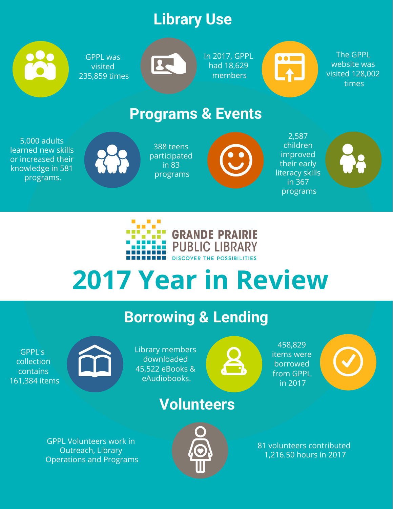# **Library Use**



GPPL was visited 235,859 times



In 2017, GPPL had 18,629 members

 $\mathbb{C}$ 

The GPPL website was visited 128,002 times

### **Programs & Events**

5,000 adults learned new skills or increased their knowledge in 581 programs.



388 teens participated in 83 programs



2,587 children improved their early literacy skills in 367 programs





# **2017 Year in Review**

# **Borrowing & Lending**

GPPL's collection contains 161,384 items



Library members downloaded 45,522 eBooks & eAudiobooks.

### **Volunteers**

GPPL Volunteers work in Outreach, Library Operations and Programs



81 volunteers contributed 1,216.50 hours in 2017

458,829 items were borrowed from GPPL in 2017